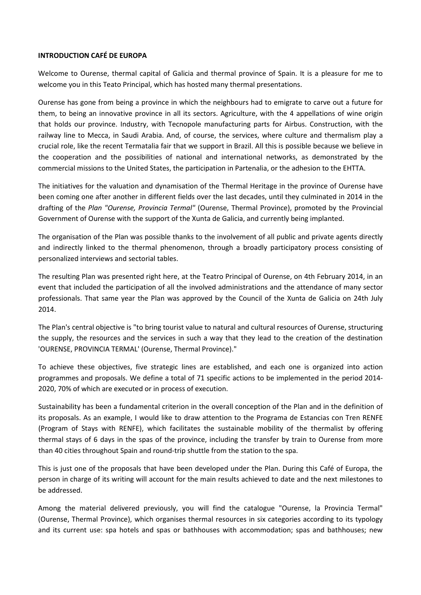## **INTRODUCTION CAFÉ DE EUROPA**

Welcome to Ourense, thermal capital of Galicia and thermal province of Spain. It is a pleasure for me to welcome you in this Teato Principal, which has hosted many thermal presentations.

Ourense has gone from being a province in which the neighbours had to emigrate to carve out a future for them, to being an innovative province in all its sectors. Agriculture, with the 4 appellations of wine origin that holds our province. Industry, with Tecnopole manufacturing parts for Airbus. Construction, with the railway line to Mecca, in Saudi Arabia. And, of course, the services, where culture and thermalism play a crucial role, like the recent Termatalia fair that we support in Brazil. All this is possible because we believe in the cooperation and the possibilities of national and international networks, as demonstrated by the commercial missions to the United States, the participation in Partenalia, or the adhesion to the EHTTA.

The initiatives for the valuation and dynamisation of the Thermal Heritage in the province of Ourense have been coming one after another in different fields over the last decades, until they culminated in 2014 in the drafting of the *Plan "Ourense, Provincia Termal"* (Ourense, Thermal Province), promoted by the Provincial Government of Ourense with the support of the Xunta de Galicia, and currently being implanted.

The organisation of the Plan was possible thanks to the involvement of all public and private agents directly and indirectly linked to the thermal phenomenon, through a broadly participatory process consisting of personalized interviews and sectorial tables.

The resulting Plan was presented right here, at the Teatro Principal of Ourense, on 4th February 2014, in an event that included the participation of all the involved administrations and the attendance of many sector professionals. That same year the Plan was approved by the Council of the Xunta de Galicia on 24th July 2014.

The Plan's central objective is "to bring tourist value to natural and cultural resources of Ourense, structuring the supply, the resources and the services in such a way that they lead to the creation of the destination 'OURENSE, PROVINCIA TERMAL' (Ourense, Thermal Province)."

To achieve these objectives, five strategic lines are established, and each one is organized into action programmes and proposals. We define a total of 71 specific actions to be implemented in the period 2014- 2020, 70% of which are executed or in process of execution.

Sustainability has been a fundamental criterion in the overall conception of the Plan and in the definition of its proposals. As an example, I would like to draw attention to the Programa de Estancias con Tren RENFE (Program of Stays with RENFE), which facilitates the sustainable mobility of the thermalist by offering thermal stays of 6 days in the spas of the province, including the transfer by train to Ourense from more than 40 cities throughout Spain and round-trip shuttle from the station to the spa.

This is just one of the proposals that have been developed under the Plan. During this Café of Europa, the person in charge of its writing will account for the main results achieved to date and the next milestones to be addressed.

Among the material delivered previously, you will find the catalogue "Ourense, la Provincia Termal" (Ourense, Thermal Province), which organises thermal resources in six categories according to its typology and its current use: spa hotels and spas or bathhouses with accommodation; spas and bathhouses; new